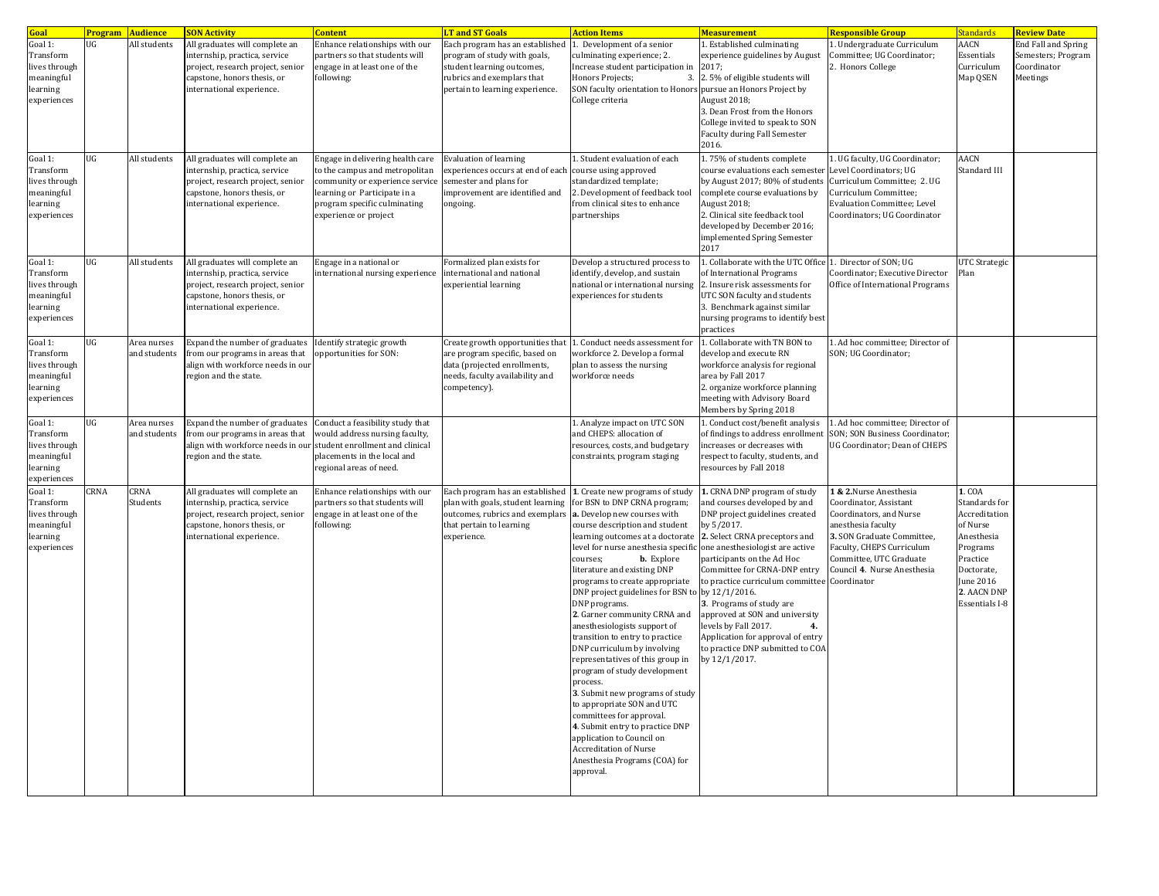| Goal                                                                           | <b>Program Audience</b> |                             | <b>SON Activity</b>                                                                                                                                              | <b>Content</b>                                                                                                                                                                                                        | <b>LT and ST Goals</b>                                                                                                                                         | <b>Action Items</b>                                                                                                                                                                                                                                                                                                                                                                                                                                                                                                                                                                                                                                                                                                                                                                                                                             | <b>Measurement</b>                                                                                                                                                                                                                                                                                                                                                                                                                                                       | Responsible Group                                                                                                                                                                                                                              | Standards                                                                                                                                              | <b>Review Date</b>                                                          |
|--------------------------------------------------------------------------------|-------------------------|-----------------------------|------------------------------------------------------------------------------------------------------------------------------------------------------------------|-----------------------------------------------------------------------------------------------------------------------------------------------------------------------------------------------------------------------|----------------------------------------------------------------------------------------------------------------------------------------------------------------|-------------------------------------------------------------------------------------------------------------------------------------------------------------------------------------------------------------------------------------------------------------------------------------------------------------------------------------------------------------------------------------------------------------------------------------------------------------------------------------------------------------------------------------------------------------------------------------------------------------------------------------------------------------------------------------------------------------------------------------------------------------------------------------------------------------------------------------------------|--------------------------------------------------------------------------------------------------------------------------------------------------------------------------------------------------------------------------------------------------------------------------------------------------------------------------------------------------------------------------------------------------------------------------------------------------------------------------|------------------------------------------------------------------------------------------------------------------------------------------------------------------------------------------------------------------------------------------------|--------------------------------------------------------------------------------------------------------------------------------------------------------|-----------------------------------------------------------------------------|
| Goal 1:<br>Transform<br>lives through<br>meaningful<br>learning<br>experiences | UG                      | All students                | All graduates will complete an<br>internship, practica, service<br>project, research project, senior<br>capstone, honors thesis, or<br>international experience. | Enhance relationships with our<br>partners so that students will<br>engage in at least one of the<br>following:                                                                                                       | Each program has an established<br>program of study with goals,<br>student learning outcomes,<br>rubrics and exemplars that<br>pertain to learning experience. | 1. Development of a senior<br>culminating experience; 2.<br>Increase student participation in<br>Honors Projects;<br>3.<br>SON faculty orientation to Honors pursue an Honors Project by<br>College criteria                                                                                                                                                                                                                                                                                                                                                                                                                                                                                                                                                                                                                                    | 1. Established culminating<br>experience guidelines by August<br>2017;<br>2.5% of eligible students will<br>August 2018;<br>3. Dean Frost from the Honors<br>College invited to speak to SON<br>Faculty during Fall Semester<br>2016.                                                                                                                                                                                                                                    | 1. Undergraduate Curriculum<br>Committee; UG Coordinator;<br>2. Honors College                                                                                                                                                                 | AACN<br>Essentials<br>Curriculum<br>Map QSEN                                                                                                           | <b>End Fall and Spring</b><br>Semesters; Program<br>Coordinator<br>Meetings |
| Goal 1:<br>Transform<br>lives through<br>meaningful<br>learning<br>experiences | UG                      | All students                | All graduates will complete an<br>internship, practica, service<br>project, research project, senior<br>capstone, honors thesis, or<br>international experience. | Engage in delivering health care<br>to the campus and metropolitan<br>community or experience service semester and plans for<br>learning or Participate in a<br>program specific culminating<br>experience or project | Evaluation of learning<br>experiences occurs at end of each<br>improvement are identified and<br>ongoing.                                                      | 1. Student evaluation of each<br>course using approved<br>standardized template;<br>2. Development of feedback too!<br>from clinical sites to enhance<br>partnerships                                                                                                                                                                                                                                                                                                                                                                                                                                                                                                                                                                                                                                                                           | 1.75% of students complete<br>course evaluations each semester<br>by August 2017; 80% of students<br>complete course evaluations by<br>August 2018;<br>2. Clinical site feedback tool<br>developed by December 2016;<br>implemented Spring Semester<br>2017                                                                                                                                                                                                              | 1. UG faculty, UG Coordinator;<br>Level Coordinators; UG<br>Curriculum Committee; 2. UG<br>Curriculum Committee;<br><b>Evaluation Committee; Level</b><br>Coordinators; UG Coordinator                                                         | <b>AACN</b><br>Standard III                                                                                                                            |                                                                             |
| Goal 1:<br>Transform<br>lives through<br>meaningful<br>learning<br>experiences | UG                      | All students                | All graduates will complete an<br>internship, practica, service<br>project, research project, senior<br>capstone, honors thesis, or<br>international experience. | Engage in a national or<br>nternational nursing experience                                                                                                                                                            | Formalized plan exists for<br>international and national<br>experiential learning                                                                              | Develop a structured process to<br>identify, develop, and sustain<br>national or international nursing<br>experiences for students                                                                                                                                                                                                                                                                                                                                                                                                                                                                                                                                                                                                                                                                                                              | 1. Collaborate with the UTC Office<br>of International Programs<br>2. Insure risk assessments for<br>UTC SON faculty and students<br>3. Benchmark against similar<br>nursing programs to identify best<br>oractices                                                                                                                                                                                                                                                      | 1. Director of SON; UG<br>Coordinator; Executive Director<br>Office of International Programs                                                                                                                                                  | UTC Strategic<br>Plan                                                                                                                                  |                                                                             |
| Goal 1:<br>Transform<br>lives through<br>meaningful<br>learning<br>experiences | UG                      | Area nurses<br>and students | Expand the number of graduates<br>from our programs in areas that<br>align with workforce needs in our<br>region and the state.                                  | Identify strategic growth<br>opportunities for SON:                                                                                                                                                                   | Create growth opportunities that<br>are program specific, based on<br>data (projected enrollments,<br>needs, faculty availability and<br>competency).          | I. Conduct needs assessment for<br>vorkforce 2. Develop a formal<br>plan to assess the nursing<br>workforce needs                                                                                                                                                                                                                                                                                                                                                                                                                                                                                                                                                                                                                                                                                                                               | 1. Collaborate with TN BON to<br>develop and execute RN<br>workforce analysis for regional<br>area by Fall 2017<br>2. organize workforce planning<br>meeting with Advisory Board<br>Members by Spring 2018                                                                                                                                                                                                                                                               | 1. Ad hoc committee; Director of<br>SON; UG Coordinator;                                                                                                                                                                                       |                                                                                                                                                        |                                                                             |
| Goal 1:<br>Transform<br>lives through<br>meaningful<br>learning<br>experiences | UG                      | Area nurses<br>and students | Expand the number of graduates<br>from our programs in areas that<br>align with workforce needs in our student enrollment and clinical<br>region and the state.  | Conduct a feasibility study that<br>would address nursing faculty,<br>placements in the local and<br>regional areas of need.                                                                                          |                                                                                                                                                                | 1. Analyze impact on UTC SON<br>and CHEPS: allocation of<br>resources, costs, and budgetary<br>constraints, program staging                                                                                                                                                                                                                                                                                                                                                                                                                                                                                                                                                                                                                                                                                                                     | 1. Conduct cost/benefit analysis<br>of findings to address enrollment<br>increases or decreases with<br>respect to faculty, students, and<br>resources by Fall 2018                                                                                                                                                                                                                                                                                                      | 1. Ad hoc committee; Director of<br>SON; SON Business Coordinator;<br>UG Coordinator; Dean of CHEPS                                                                                                                                            |                                                                                                                                                        |                                                                             |
| Goal 1:<br>Transform<br>lives through<br>meaningful<br>learning<br>experiences | CRNA                    | CRNA<br>Students            | All graduates will complete an<br>internship, practica, service<br>project, research project, senior<br>capstone, honors thesis, or<br>international experience. | Enhance relationships with our<br>partners so that students will<br>engage in at least one of the<br>following:                                                                                                       | Each program has an established<br>plan with goals, student learning<br>outcomes, rubrics and exemplars<br>that pertain to learning<br>experience.             | 1. Create new programs of study<br>for BSN to DNP CRNA program;<br>a. Develop new courses with<br>course description and student<br>learning outcomes at a doctorate<br>level for nurse anesthesia specific<br>courses;<br><b>b.</b> Explore<br>literature and existing DNP<br>programs to create appropriate<br>DNP project guidelines for BSN to by 12/1/2016.<br>DNP programs.<br>2. Garner community CRNA and<br>anesthesiologists support of<br>transition to entry to practice<br>DNP curriculum by involving<br>representatives of this group in<br>program of study development<br>process.<br>3. Submit new programs of study<br>to appropriate SON and UTC<br>committees for approval.<br>4. Submit entry to practice DNP<br>application to Council on<br><b>Accreditation of Nurse</b><br>Anesthesia Programs (COA) for<br>approval. | 1. CRNA DNP program of study<br>and courses developed by and<br>DNP project guidelines created<br>by 5/2017.<br>2. Select CRNA preceptors and<br>one anesthesiologist are active<br>participants on the Ad Hoc<br>Committee for CRNA-DNP entry<br>to practice curriculum committee<br>3. Programs of study are<br>approved at SON and university<br>levels by Fall 2017.<br>4.<br>Application for approval of entry<br>to practice DNP submitted to COA<br>by 12/1/2017. | <b>&amp; 2.Nurse Anesthesia</b><br>Coordinator, Assistant<br>Coordinators, and Nurse<br>anesthesia faculty<br>3. SON Graduate Committee,<br>Faculty, CHEPS Curriculum<br>Committee, UTC Graduate<br>Council 4. Nurse Anesthesia<br>Coordinator | 1. COA<br>Standards for<br>Accreditation<br>of Nurse<br>Anesthesia<br>Programs<br>Practice<br>Doctorate,<br>June 2016<br>2. AACN DNP<br>Essentials I-8 |                                                                             |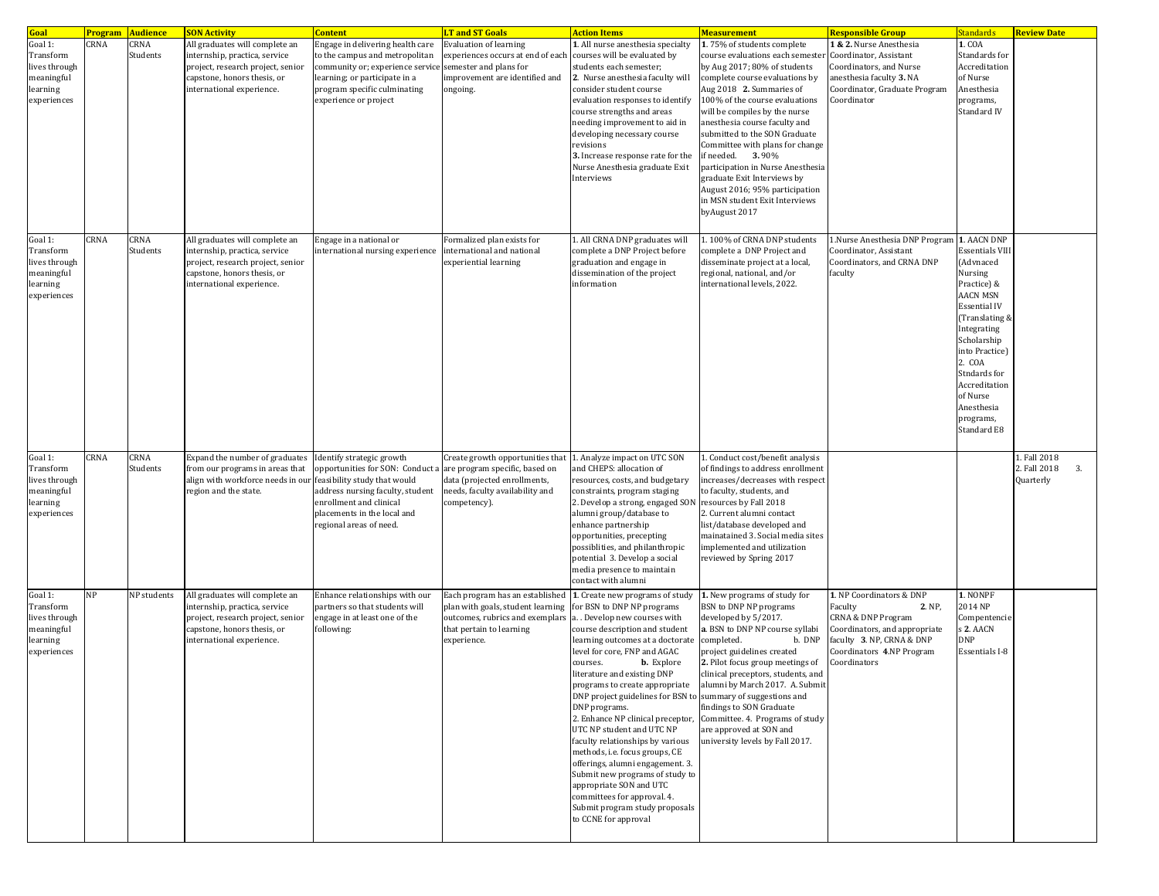| Goal                                                                           |      | <b>Program Audience</b> | <b>SON Activity</b>                                                                                                                                              | <b>Content</b>                                                                                                                                                                                   | <b>T</b> and ST Goals                                                                                                                                 | <b>Action Items</b>                                                                                                                                                                                                                                                                                                                                                                                                                                                                                                                                                                                                                                                                      | <b>Measurement</b>                                                                                                                                                                                                                                                                                                                                                                                                                                                                                                | <mark>Responsible Group</mark>                                                                                                                                                            | Standards                                                                                                                                                                                                                                                    | <b>Review Date</b>                              |
|--------------------------------------------------------------------------------|------|-------------------------|------------------------------------------------------------------------------------------------------------------------------------------------------------------|--------------------------------------------------------------------------------------------------------------------------------------------------------------------------------------------------|-------------------------------------------------------------------------------------------------------------------------------------------------------|------------------------------------------------------------------------------------------------------------------------------------------------------------------------------------------------------------------------------------------------------------------------------------------------------------------------------------------------------------------------------------------------------------------------------------------------------------------------------------------------------------------------------------------------------------------------------------------------------------------------------------------------------------------------------------------|-------------------------------------------------------------------------------------------------------------------------------------------------------------------------------------------------------------------------------------------------------------------------------------------------------------------------------------------------------------------------------------------------------------------------------------------------------------------------------------------------------------------|-------------------------------------------------------------------------------------------------------------------------------------------------------------------------------------------|--------------------------------------------------------------------------------------------------------------------------------------------------------------------------------------------------------------------------------------------------------------|-------------------------------------------------|
| Goal 1:<br>Transform<br>lives through<br>meaningful<br>learning<br>experiences | CRNA | CRNA<br>Students        | All graduates will complete an<br>internship, practica, service<br>project, research project, senior<br>capstone, honors thesis, or<br>international experience. | Engage in delivering health care<br>to the campus and metropolitan<br>community or; experience service<br>learning; or participate in a<br>program specific culminating<br>experience or project | <b>Evaluation of learning</b><br>experiences occurs at end of each<br>semester and plans for<br>mprovement are identified and<br>ongoing.             | 1. All nurse anesthesia specialty<br>courses will be evaluated by<br>students each semester;<br>2. Nurse anesthesia faculty will<br>consider student course<br>evaluation responses to identify<br>course strengths and areas<br>needing improvement to aid in<br>developing necessary course<br>revisions<br>3. Increase response rate for the<br>Nurse Anesthesia graduate Exit<br>Interviews                                                                                                                                                                                                                                                                                          | 1.75% of students complete<br>course evaluations each semester<br>by Aug 2017; 80% of students<br>complete course evaluations by<br>Aug 2018 2. Summaries of<br>100% of the course evaluations<br>will be compiles by the nurse<br>anesthesia course faculty and<br>submitted to the SON Graduate<br>Committee with plans for change<br>if needed. 3.90%<br>participation in Nurse Anesthesia<br>graduate Exit Interviews by<br>August 2016; 95% participation<br>in MSN student Exit Interviews<br>byAugust 2017 | 1 & 2. Nurse Anesthesia<br>Coordinator, Assistant<br>Coordinators, and Nurse<br>anesthesia faculty 3. NA<br>Coordinator, Graduate Program<br>Coordinator                                  | 1. COA<br>Standards for<br>Accreditation<br>of Nurse<br>Anesthesia<br>programs,<br>Standard IV                                                                                                                                                               |                                                 |
| Goal 1:<br>Transform<br>lives through<br>meaningful<br>learning<br>experiences | CRNA | CRNA<br>Students        | All graduates will complete an<br>internship, practica, service<br>project, research project, senior<br>capstone, honors thesis, or<br>international experience. | Engage in a national or<br>international nursing experience                                                                                                                                      | Formalized plan exists for<br>international and national<br>experiential learning                                                                     | 1. All CRNA DNP graduates will<br>complete a DNP Project before<br>graduation and engage in<br>dissemination of the project<br>information                                                                                                                                                                                                                                                                                                                                                                                                                                                                                                                                               | 1.100% of CRNA DNP students<br>complete a DNP Project and<br>disseminate project at a local,<br>regional, national, and/or<br>international levels, 2022.                                                                                                                                                                                                                                                                                                                                                         | 1.Nurse Anesthesia DNP Program 1. AACN DNP<br>Coordinator, Assistant<br>Coordinators, and CRNA DNP<br>faculty                                                                             | <b>Essentials VIII</b><br>(Advnaced<br>Nursing<br>Practice) &<br>AACN MSN<br>Essential IV<br>(Translating &<br>Integrating<br>Scholarship<br>into Practice)<br>2. COA<br>Stndards for<br>Accreditation<br>of Nurse<br>Anesthesia<br>programs,<br>Standard E8 |                                                 |
| Goal 1:<br>Transform<br>lives through<br>meaningful<br>learning<br>experiences | CRNA | <b>CRNA</b><br>Students | Expand the number of graduates<br>from our programs in areas that<br>align with workforce needs in our feasibility study that would<br>region and the state.     | Identify strategic growth<br>opportunities for SON: Conduct a<br>address nursing faculty, student<br>enrollment and clinical<br>placements in the local and<br>regional areas of need.           | Create growth opportunities that<br>are program specific, based on<br>data (projected enrollments,<br>needs, faculty availability and<br>competency). | 1. Analyze impact on UTC SON<br>and CHEPS: allocation of<br>resources, costs, and budgetary<br>constraints, program staging<br>2. Develop a strong, engaged SON<br>alumni group/database to<br>enhance partnership<br>opportunities, precepting<br>possiblities, and philanthropic<br>potential 3. Develop a social<br>media presence to maintain<br>contact with alumni                                                                                                                                                                                                                                                                                                                 | 1. Conduct cost/benefit analysis<br>of findings to address enrollment<br>increases/decreases with respect<br>to faculty, students, and<br>resources by Fall 2018<br>2. Current alumni contact<br>list/database developed and<br>mainatained 3. Social media sites<br>implemented and utilization<br>reviewed by Spring 2017                                                                                                                                                                                       |                                                                                                                                                                                           |                                                                                                                                                                                                                                                              | 1. Fall 2018<br>2. Fall 2018<br>3.<br>Quarterly |
| Goal 1:<br>Transform<br>lives through<br>meaningful<br>learning<br>experiences | NP   | NP students             | All graduates will complete an<br>internship, practica, service<br>project, research project, senior<br>capstone, honors thesis, or<br>international experience. | Enhance relationships with our<br>partners so that students will<br>engage in at least one of the<br>following:                                                                                  | Each program has an established<br>plan with goals, student learning<br>outcomes, rubrics and exemplars<br>that pertain to learning<br>experience.    | 1. Create new programs of study<br>for BSN to DNP NP programs<br>a. . Develop new courses with<br>course description and student<br>learning outcomes at a doctorate<br>level for core, FNP and AGAC<br>courses.<br><b>b.</b> Explore<br>literature and existing DNP<br>DNP project guidelines for BSN to summary of suggestions and<br>DNP programs.<br>2. Enhance NP clinical preceptor,<br>UTC NP student and UTC NP<br>faculty relationships by various<br>methods, i.e. focus groups, CE<br>offerings, alumni engagement. 3.<br>Submit new programs of study to<br>appropriate SON and UTC<br>committees for approval. 4.<br>Submit program study proposals<br>to CCNE for approval | 1. New programs of study for<br>BSN to DNP NP programs<br>developed by 5/2017.<br>a. BSN to DNP NP course syllabi<br>completed.<br>b. DNP<br>project guidelines created<br>2. Pilot focus group meetings of<br>clinical preceptors, students, and<br>rograms to create appropriate   alumni by March 2017. A. Submit<br>findings to SON Graduate<br>Committee. 4. Programs of study<br>are approved at SON and<br>university levels by Fall 2017.                                                                 | 1. NP Coordinators & DNP<br>2. NP,<br>Faculty<br><b>CRNA &amp; DNP Program</b><br>Coordinators, and appropriate<br>faculty 3. NP, CRNA & DNP<br>Coordinators 4.NP Program<br>Coordinators | 1. NONPF<br>2014 NP<br>Compentencie<br>s 2. AACN<br><b>DNP</b><br>Essentials I-8                                                                                                                                                                             |                                                 |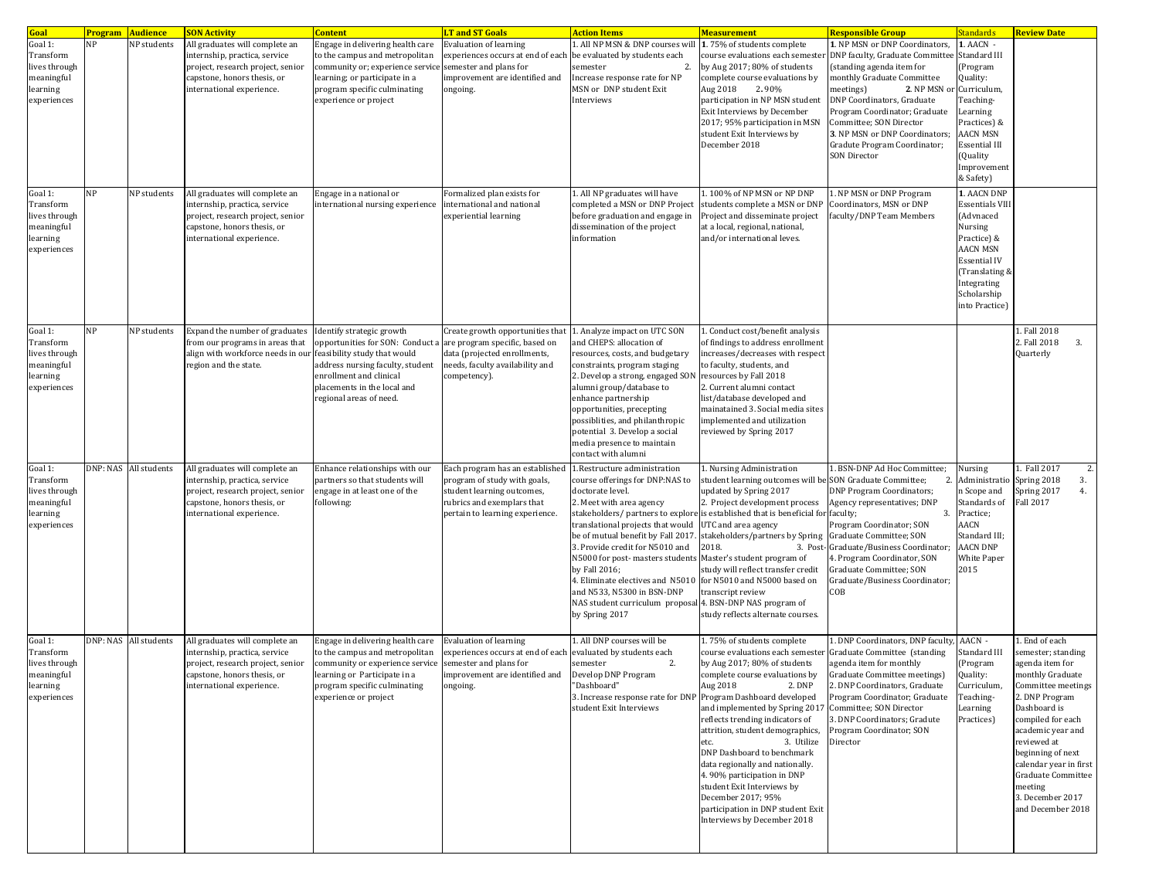| Goal                                                                           | <b>Program Audience</b> |                       | <b>SON Activity</b>                                                                                                                                                                    | <b>Content</b>                                                                                                                                                                                                                                     | <b>LT and ST Goals</b>                                                                                                                                                | <b>Action Items</b>                                                                                                                                                                                                                                                                                                                                                                                                                   | <b>Measurement</b>                                                                                                                                                                                                                                                                                                                                                                                                                                                                                                                          | <mark>Responsible Group</mark>                                                                                                                                                                                                                                                                                                                                        | standards                                                                                                                                                                                    | <b>Review Date</b>                                                                                                                                                                                                                                                                                                           |
|--------------------------------------------------------------------------------|-------------------------|-----------------------|----------------------------------------------------------------------------------------------------------------------------------------------------------------------------------------|----------------------------------------------------------------------------------------------------------------------------------------------------------------------------------------------------------------------------------------------------|-----------------------------------------------------------------------------------------------------------------------------------------------------------------------|---------------------------------------------------------------------------------------------------------------------------------------------------------------------------------------------------------------------------------------------------------------------------------------------------------------------------------------------------------------------------------------------------------------------------------------|---------------------------------------------------------------------------------------------------------------------------------------------------------------------------------------------------------------------------------------------------------------------------------------------------------------------------------------------------------------------------------------------------------------------------------------------------------------------------------------------------------------------------------------------|-----------------------------------------------------------------------------------------------------------------------------------------------------------------------------------------------------------------------------------------------------------------------------------------------------------------------------------------------------------------------|----------------------------------------------------------------------------------------------------------------------------------------------------------------------------------------------|------------------------------------------------------------------------------------------------------------------------------------------------------------------------------------------------------------------------------------------------------------------------------------------------------------------------------|
| Goal 1:<br>Transform<br>lives through<br>meaningful<br>learning<br>experiences | NP<br><b>NP</b>         | NP students           | All graduates will complete an<br>internship, practica, service<br>project, research project, senior<br>capstone, honors thesis, or<br>international experience.                       | Engage in delivering health care<br>to the campus and metropolitan<br>community or; experience service semester and plans for<br>learning; or participate in a<br>program specific culminating<br>experience or project<br>Engage in a national or | <b>Evaluation of learning</b><br>experiences occurs at end of each<br>mprovement are identified and<br>ongoing.<br>Formalized plan exists for                         | All NP MSN & DNP courses will<br>be evaluated by students each<br>$\overline{2}$<br>semester<br>Increase response rate for NP<br>MSN or DNP student Exit<br>Interviews                                                                                                                                                                                                                                                                | 1.75% of students complete<br>course evaluations each semeste<br>by Aug 2017; 80% of students<br>complete course evaluations by<br>Aug 2018<br>2.90%<br>participation in NP MSN student<br>Exit Interviews by December<br>2017; 95% participation in MSN<br>student Exit Interviews by<br>December 2018                                                                                                                                                                                                                                     | 1. NP MSN or DNP Coordinators,<br>DNP faculty, Graduate Committee<br>standing agenda item for<br>monthly Graduate Committee<br>2. NP MSN o<br>meetings)<br>DNP Coordinators, Graduate<br>Program Coordinator; Graduate<br>Committee; SON Director<br>3. NP MSN or DNP Coordinators;<br>Gradute Program Coordinator;<br><b>SON Director</b><br>. NP MSN or DNP Program | 1. AACN -<br>Standard III<br>(Program<br>Quality:<br>Curriculum,<br>Teaching-<br>Learning<br>Practices) &<br><b>AACN MSN</b><br><b>Essential III</b><br>(Quality<br>Improvement<br>& Safety) |                                                                                                                                                                                                                                                                                                                              |
| Goal 1:<br>Transform<br>lives through<br>meaningful<br>learning<br>experiences |                         | NP students           | All graduates will complete an<br>internship, practica, service<br>project, research project, senior<br>capstone, honors thesis, or<br>international experience.                       | international nursing experience                                                                                                                                                                                                                   | international and national<br>experiential learning                                                                                                                   | 1. All NP graduates will have<br>completed a MSN or DNP Project<br>before graduation and engage in<br>dissemination of the project<br>information                                                                                                                                                                                                                                                                                     | 1.100% of NP MSN or NP DNP<br>students complete a MSN or DNP<br>Project and disseminate project<br>at a local, regional, national,<br>and/or international leves.                                                                                                                                                                                                                                                                                                                                                                           | Coordinators, MSN or DNP<br>faculty/DNP Team Members                                                                                                                                                                                                                                                                                                                  | 1. AACN DNP<br><b>Essentials VIII</b><br>(Advnaced<br>Nursing<br>Practice) &<br><b>AACN MSN</b><br><b>Essential IV</b><br>(Translating &<br>Integrating<br>Scholarship<br>into Practice)     |                                                                                                                                                                                                                                                                                                                              |
| Goal 1:<br>Transform<br>lives through<br>meaningful<br>learning<br>experiences | NP                      | NP students           | Expand the number of graduates Identify strategic growth<br>from our programs in areas that<br>align with workforce needs in our feasibility study that would<br>region and the state. | opportunities for SON: Conduct a<br>address nursing faculty, student<br>enrollment and clinical<br>placements in the local and<br>regional areas of need.                                                                                          | Create growth opportunities that<br>are program specific, based on<br>data (projected enrollments,<br>needs, faculty availability and<br>competency).                 | 1. Analyze impact on UTC SON<br>and CHEPS: allocation of<br>resources, costs, and budgetary<br>constraints, program staging<br>2. Develop a strong, engaged SON<br>alumni group/database to<br>enhance partnership<br>opportunities, precepting<br>possiblities, and philanthropic<br>potential 3. Develop a social<br>media presence to maintain<br>contact with alumni                                                              | 1. Conduct cost/benefit analysis<br>of findings to address enrollment<br>increases/decreases with respect<br>to faculty, students, and<br>resources by Fall 2018<br>2. Current alumni contact<br>list/database developed and<br>mainatained 3. Social media sites<br>implemented and utilization<br>reviewed by Spring 2017                                                                                                                                                                                                                 |                                                                                                                                                                                                                                                                                                                                                                       |                                                                                                                                                                                              | 1. Fall 2018<br>2. Fall 2018<br>3.<br>Quarterly                                                                                                                                                                                                                                                                              |
| Goal 1:<br>Transform<br>lives through<br>meaningful<br>learning<br>experiences |                         | DNP: NAS All students | All graduates will complete an<br>internship, practica, service<br>project, research project, senior<br>capstone, honors thesis, or<br>international experience.                       | Enhance relationships with our<br>partners so that students will<br>engage in at least one of the<br>following:                                                                                                                                    | Each program has an established<br>program of study with goals,<br>student learning outcomes,<br>rubrics and exemplars that<br>pertain to learning experience.        | 1.Restructure administration<br>course offerings for DNP:NAS to<br>doctorate level.<br>2. Meet with area agency<br>translational projects that would<br>be of mutual benefit by Fall 2017.<br>3. Provide credit for N5010 and<br>N5000 for post- masters students Master's student program of<br>by Fall 2016;<br>4. Eliminate electives and N5010<br>and N533, N5300 in BSN-DNP<br>NAS student curriculum proposal<br>by Spring 2017 | 1. Nursing Administration<br>student learning outcomes will be SON Graduate Committee;<br>updated by Spring 2017<br>2. Project development process<br>stakeholders/ partners to explore is established that is beneficial for faculty;<br>UTC and area agency<br>stakeholders/partners by Spring<br>2018.<br>3. Post-<br>study will reflect transfer credit<br>for N5010 and N5000 based on<br>transcript review<br>4. BSN-DNP NAS program of<br>study reflects alternate courses.                                                          | BSN-DNP Ad Hoc Committee;<br>2<br><b>DNP Program Coordinators;</b><br>Agency representatives; DNP<br>3.<br>Program Coordinator; SON<br>Graduate Committee; SON<br>Graduate/Business Coordinator;<br>4. Program Coordinator, SON<br>Graduate Committee; SON<br>Graduate/Business Coordinator;<br>COB                                                                   | Nursing<br>Administratio<br>n Scope and<br>Standards of<br>Practice;<br>AACN<br>Standard III;<br><b>AACN DNP</b><br>White Paper<br>2015                                                      | 1. Fall 2017<br>Spring 2018<br>3.<br>Spring 2017<br>4.<br><b>Fall 2017</b>                                                                                                                                                                                                                                                   |
| Goal 1:<br>Transform<br>lives through<br>meaningful<br>learning<br>experiences |                         | DNP: NAS All students | All graduates will complete an<br>internship, practica, service<br>project, research project, senior<br>capstone, honors thesis, or<br>international experience.                       | Engage in delivering health care<br>to the campus and metropolitan<br>community or experience service<br>learning or Participate in a<br>program specific culminating<br>experience or project                                                     | <b>Evaluation of learning</b><br>experiences occurs at end of each evaluated by students each<br>semester and plans for<br>improvement are identified and<br>ongoing. | All DNP courses will be<br>2.<br>semester<br>Develop DNP Program<br>'Dashboard"<br>3. Increase response rate for DNP<br>student Exit Interviews                                                                                                                                                                                                                                                                                       | 1.75% of students complete<br>course evaluations each semester<br>by Aug 2017; 80% of students<br>complete course evaluations by<br>Aug 2018<br>2. DNP<br>Program Dashboard developed<br>and implemented by Spring 2017<br>reflects trending indicators of<br>attrition, student demographics,<br>3. Utilize<br>etc.<br>DNP Dashboard to benchmark<br>data regionally and nationally.<br>4.90% participation in DNP<br>student Exit Interviews by<br>December 2017; 95%<br>participation in DNP student Exit<br>Interviews by December 2018 | . DNP Coordinators, DNP faculty,<br>Graduate Committee (standing<br>agenda item for monthly<br>Graduate Committee meetings)<br>2. DNP Coordinators, Graduate<br>Program Coordinator; Graduate<br>Committee; SON Director<br>3. DNP Coordinators; Gradute<br>Program Coordinator; SON<br>Director                                                                      | AACN -<br>Standard III<br>(Program<br>Quality:<br>Curriculum,<br>Teaching-<br>Learning<br>Practices)                                                                                         | 1. End of each<br>semester; standing<br>agenda item for<br>monthly Graduate<br>Committee meetings<br>2. DNP Program<br>Dashboard is<br>compiled for each<br>academic year and<br>reviewed at<br>beginning of next<br>calendar year in first<br><b>Graduate Committee</b><br>meeting<br>3. December 2017<br>and December 2018 |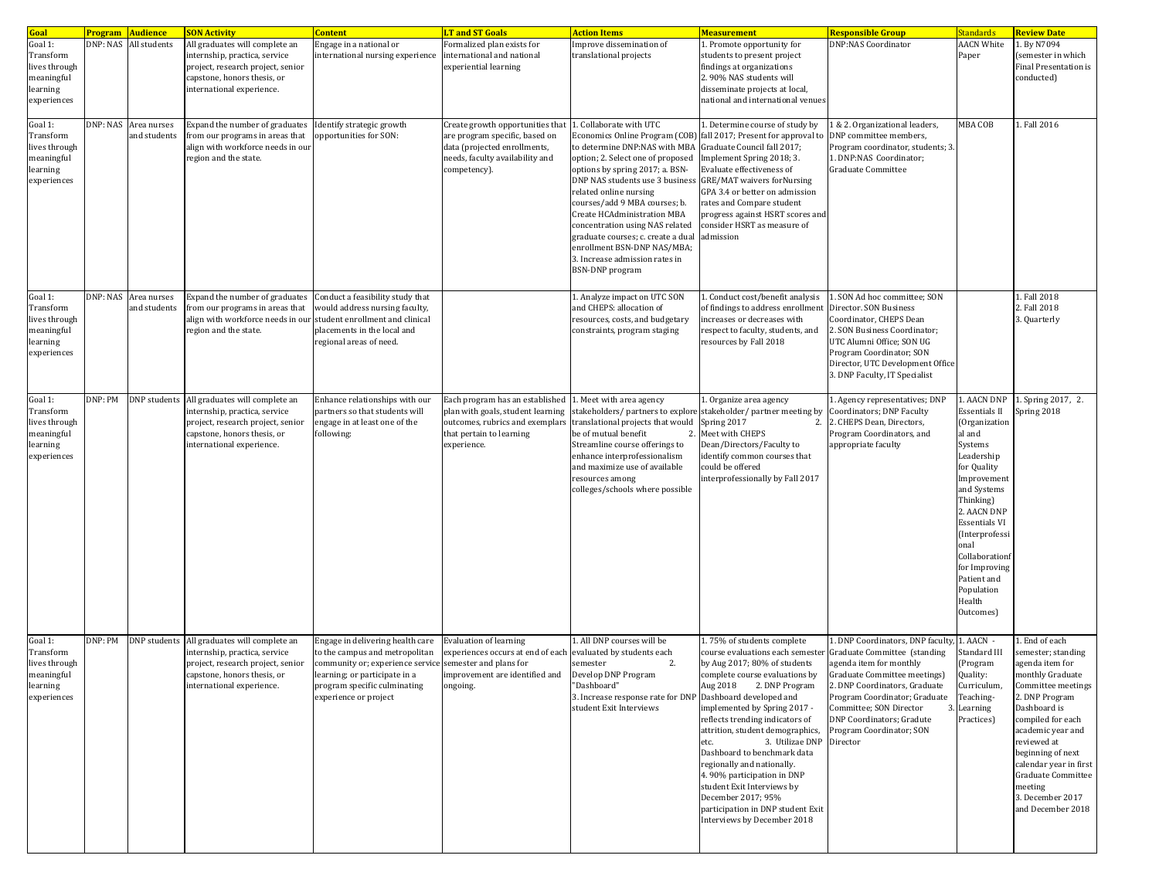| Goal                                                                           |         | <b>Program Audience</b>              | <b>SON Activity</b>                                                                                                                                              | <b>Content</b>                                                                                                                                                                                                          | <b>LT and ST Goals</b>                                                                                                                                | <b>Action Items</b>                                                                                                                                                                                                                                                                                                                                                                                                                                         | <b>Measurement</b>                                                                                                                                                                                                                                                                                                                                                                                                                                                                                                                          | Responsible Group                                                                                                                                                                                                                                                                                 | Standards                                                                                                                                                                                                                                                                                                 | <b>Review Date</b>                                                                                                                                                                                                                                                                                                   |
|--------------------------------------------------------------------------------|---------|--------------------------------------|------------------------------------------------------------------------------------------------------------------------------------------------------------------|-------------------------------------------------------------------------------------------------------------------------------------------------------------------------------------------------------------------------|-------------------------------------------------------------------------------------------------------------------------------------------------------|-------------------------------------------------------------------------------------------------------------------------------------------------------------------------------------------------------------------------------------------------------------------------------------------------------------------------------------------------------------------------------------------------------------------------------------------------------------|---------------------------------------------------------------------------------------------------------------------------------------------------------------------------------------------------------------------------------------------------------------------------------------------------------------------------------------------------------------------------------------------------------------------------------------------------------------------------------------------------------------------------------------------|---------------------------------------------------------------------------------------------------------------------------------------------------------------------------------------------------------------------------------------------------------------------------------------------------|-----------------------------------------------------------------------------------------------------------------------------------------------------------------------------------------------------------------------------------------------------------------------------------------------------------|----------------------------------------------------------------------------------------------------------------------------------------------------------------------------------------------------------------------------------------------------------------------------------------------------------------------|
| Goal 1:<br>Transform<br>lives through<br>meaningful<br>learning<br>experiences |         | DNP: NAS All students                | All graduates will complete an<br>internship, practica, service<br>project, research project, senior<br>capstone, honors thesis, or<br>international experience. | Engage in a national or<br>international nursing experience                                                                                                                                                             | Formalized plan exists for<br>international and national<br>experiential learning                                                                     | Improve dissemination of<br>translational projects                                                                                                                                                                                                                                                                                                                                                                                                          | 1. Promote opportunity for<br>students to present project<br>findings at organizations<br>2.90% NAS students will<br>disseminate projects at local,<br>national and international venues                                                                                                                                                                                                                                                                                                                                                    | <b>DNP:NAS Coordinator</b>                                                                                                                                                                                                                                                                        | <b>AACN White</b><br>Paper                                                                                                                                                                                                                                                                                | 1. By N7094<br>(semester in which<br><b>Final Presentation is</b><br>conducted)                                                                                                                                                                                                                                      |
| Goal 1:<br>Transform<br>lives through<br>meaningful<br>learning<br>experiences |         | DNP: NAS Area nurses<br>and students | Expand the number of graduates<br>from our programs in areas that<br>align with workforce needs in our<br>region and the state.                                  | Identify strategic growth<br>opportunities for SON:                                                                                                                                                                     | Create growth opportunities that<br>are program specific, based on<br>data (projected enrollments,<br>needs, faculty availability and<br>competency). | . Collaborate with UTC<br>Economics Online Program (COB)<br>to determine DNP:NAS with MBA<br>option; 2. Select one of proposed<br>options by spring 2017; a. BSN-<br>DNP NAS students use 3 business<br>related online nursing<br>courses/add 9 MBA courses; b.<br>Create HCAdministration MBA<br>concentration using NAS related<br>graduate courses; c. create a dual<br>enrollment BSN-DNP NAS/MBA;<br>3. Increase admission rates in<br>BSN-DNP program | . Determine course of study by<br>fall 2017; Present for approval to<br>Graduate Council fall 2017;<br>Implement Spring 2018; 3.<br>Evaluate effectiveness of<br><b>GRE/MAT</b> waivers forNursing<br>GPA 3.4 or better on admission<br>rates and Compare student<br>progress against HSRT scores and<br>consider HSRT as measure of<br>admission                                                                                                                                                                                           | & 2. Organizational leaders,<br>DNP committee members,<br>Program coordinator, students; 3.<br>1. DNP:NAS Coordinator;<br>Graduate Committee                                                                                                                                                      | MBA COB                                                                                                                                                                                                                                                                                                   | 1. Fall 2016                                                                                                                                                                                                                                                                                                         |
| Goal 1:<br>Transform<br>lives through<br>meaningful<br>learning<br>experiences |         | DNP: NAS Area nurses<br>and students | Expand the number of graduates<br>from our programs in areas that<br>align with workforce needs in our student enrollment and clinical<br>region and the state.  | Conduct a feasibility study that<br>would address nursing faculty,<br>placements in the local and<br>regional areas of need.                                                                                            |                                                                                                                                                       | 1. Analyze impact on UTC SON<br>and CHEPS: allocation of<br>resources, costs, and budgetary<br>constraints, program staging                                                                                                                                                                                                                                                                                                                                 | 1. Conduct cost/benefit analysis<br>of findings to address enrollment<br>increases or decreases with<br>respect to faculty, students, and<br>resources by Fall 2018                                                                                                                                                                                                                                                                                                                                                                         | . SON Ad hoc committee; SON<br>Director. SON Business<br>Coordinator, CHEPS Dean<br>2. SON Business Coordinator;<br>UTC Alumni Office; SON UG<br>Program Coordinator; SON<br>Director, UTC Development Office<br>3. DNP Faculty, IT Specialist                                                    |                                                                                                                                                                                                                                                                                                           | 1. Fall 2018<br>2. Fall 2018<br>3. Quarterly                                                                                                                                                                                                                                                                         |
| Goal 1:<br>Transform<br>lives through<br>meaningful<br>learning<br>experiences | DNP: PM | DNP students                         | All graduates will complete an<br>internship, practica, service<br>project, research project, senior<br>capstone, honors thesis, or<br>international experience. | Enhance relationships with our<br>partners so that students will<br>engage in at least one of the<br>following:                                                                                                         | Each program has an established<br>plan with goals, student learning<br>outcomes, rubrics and exemplars<br>that pertain to learning<br>experience.    | . Meet with area agency<br>translational projects that would<br>be of mutual benefit<br>2.<br>Streamline course offerings to<br>enhance interprofessionalism<br>and maximize use of available<br>resources among<br>colleges/schools where possible                                                                                                                                                                                                         | 1. Organize area agency<br>stakeholders/ partners to explore stakeholder/ partner meeting by<br>Spring 2017<br>2.<br>Meet with CHEPS<br>Dean/Directors/Faculty to<br>identify common courses that<br>could be offered<br>interprofessionally by Fall 2017                                                                                                                                                                                                                                                                                   | 1. Agency representatives; DNP<br>Coordinators; DNP Faculty<br>2. CHEPS Dean, Directors,<br>Program Coordinators, and<br>appropriate faculty                                                                                                                                                      | 1. AACN DNP<br><b>Essentials II</b><br>(Organization<br>al and<br>Systems<br>Leadership<br>for Quality<br>Improvement<br>and Systems<br>Thinking)<br>2. AACN DNP<br><b>Essentials VI</b><br>(Interprofessi<br>onal<br>Collaborationf<br>for Improving<br>Patient and<br>Population<br>Health<br>Outcomes) | 1. Spring 2017, 2.<br>Spring 2018                                                                                                                                                                                                                                                                                    |
| Goal 1:<br>Transform<br>lives through<br>meaningful<br>learning<br>experiences | DNP: PM | DNP students                         | All graduates will complete an<br>internship, practica, service<br>project, research project, senior<br>capstone, honors thesis, or<br>international experience. | Engage in delivering health care<br>to the campus and metropolitan<br>community or; experience service semester and plans for<br>learning; or participate in a<br>program specific culminating<br>experience or project | <b>Evaluation of learning</b><br>experiences occurs at end of each evaluated by students each<br>improvement are identified and<br>ongoing.           | 1. All DNP courses will be<br>2.<br>semester<br>Develop DNP Program<br>Dashboard<br>3. Increase response rate for DNP<br>student Exit Interviews                                                                                                                                                                                                                                                                                                            | 1.75% of students complete<br>course evaluations each semester<br>by Aug 2017; 80% of students<br>complete course evaluations by<br>Aug 2018 2. DNP Program<br>Dashboard developed and<br>implemented by Spring 2017 -<br>reflects trending indicators of<br>attrition, student demographics,<br>3. Utilizae DNP<br>etc.<br>Dashboard to benchmark data<br>regionally and nationally.<br>4.90% participation in DNP<br>student Exit Interviews by<br>December 2017; 95%<br>participation in DNP student Exit<br>Interviews by December 2018 | . DNP Coordinators, DNP faculty<br>Graduate Committee (standing<br>agenda item for monthly<br>Graduate Committee meetings)<br>2. DNP Coordinators, Graduate<br>Program Coordinator; Graduate<br>Committee; SON Director<br>3<br>DNP Coordinators; Gradute<br>Program Coordinator; SON<br>Director | 1. AACN -<br>Standard III<br>(Program<br>Quality:<br>Curriculum,<br>Teaching-<br>Learning<br>Practices)                                                                                                                                                                                                   | . End of each<br>semester; standing<br>agenda item for<br>monthly Graduate<br>Committee meetings<br>2. DNP Program<br>Dashboard is<br>compiled for each<br>academic year and<br>reviewed at<br>beginning of next<br>calendar year in first<br>Graduate Committee<br>meeting<br>3. December 2017<br>and December 2018 |